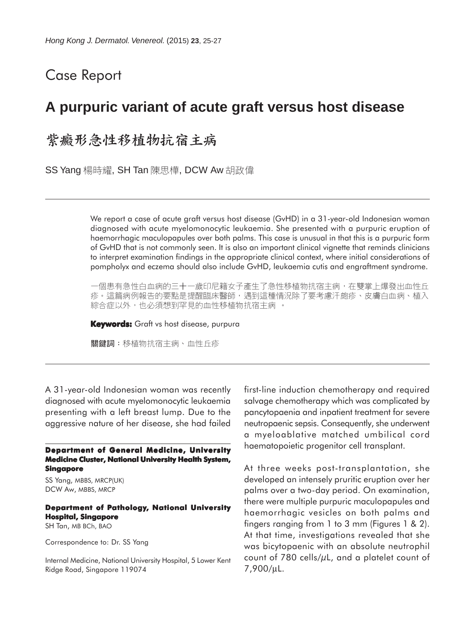## Case Report

# **A purpuric variant of acute graft versus host disease**

## 紫癜形急性移植物抗宿主病

SS Yang 楊時耀, SH Tan 陳思樺, DCW Aw 胡政偉

We report a case of acute graft versus host disease (GvHD) in a 31-year-old Indonesian woman diagnosed with acute myelomonocytic leukaemia. She presented with a purpuric eruption of haemorrhagic maculopapules over both palms. This case is unusual in that this is a purpuric form of GvHD that is not commonly seen. It is also an important clinical vignette that reminds clinicians to interpret examination findings in the appropriate clinical context, where initial considerations of pompholyx and eczema should also include GvHD, leukaemia cutis and engraftment syndrome.

一個患有急性白血病的三十一歲印尼籍女子產生了急性移植物抗宿主病,在雙掌上爆發出血性丘 疹。這篇病例報告的要點是提醒臨床醫師,遇到這種情況除了要考慮汗皰疹、皮膚白血病、植入 綜合症以外,也必須想到罕見的血性移植物抗宿主病 。

**Keywords:** Graft vs host disease, purpura

關鍵詞:移植物抗宿主病、血性丘疹

A 31-year-old Indonesian woman was recently diagnosed with acute myelomonocytic leukaemia presenting with a left breast lump. Due to the aggressive nature of her disease, she had failed

**Department of General Medicine, University Medicine Cluster, National University Health System, Singapore**

SS Yang, MBBS, MRCP(UK) DCW Aw, MBBS, MRCP

#### **Department of Pathology, National University Hospital, Singapore**

SH Tan, MB BCh, BAO

Correspondence to: Dr. SS Yang

Internal Medicine, National University Hospital, 5 Lower Kent Ridge Road, Singapore 119074

first-line induction chemotherapy and required salvage chemotherapy which was complicated by pancytopaenia and inpatient treatment for severe neutropaenic sepsis. Consequently, she underwent a myeloablative matched umbilical cord haematopoietic progenitor cell transplant.

At three weeks post-transplantation, she developed an intensely pruritic eruption over her palms over a two-day period. On examination, there were multiple purpuric maculopapules and haemorrhagic vesicles on both palms and fingers ranging from 1 to 3 mm (Figures 1 & 2). At that time, investigations revealed that she was bicytopaenic with an absolute neutrophil count of 780 cells/ $\mu$ L, and a platelet count of 7,900/µL.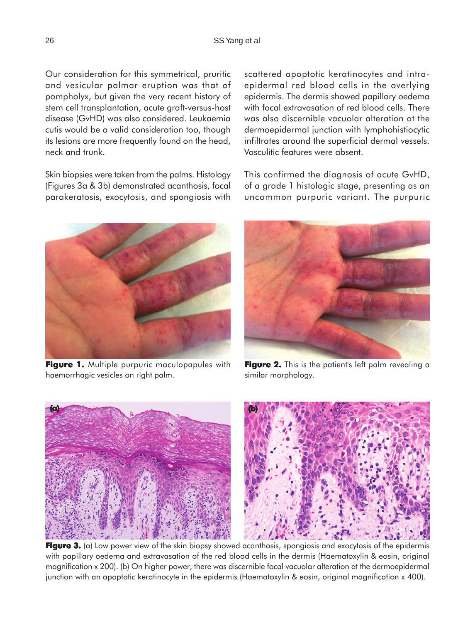Our consideration for this symmetrical, pruritic and vesicular palmar eruption was that of pompholyx, but given the very recent history of stem cell transplantation, acute graft-versus-host disease (GvHD) was also considered. Leukaemia cutis would be a valid consideration too, though its lesions are more frequently found on the head, neck and trunk.

Skin biopsies were taken from the palms. Histology (Figures 3a & 3b) demonstrated acanthosis, focal parakeratosis, exocytosis, and spongiosis with



**Figure 1.** Multiple purpuric maculopapules with haemorrhagic vesicles on right palm.

scattered apoptotic keratinocytes and intraepidermal red blood cells in the overlying epidermis. The dermis showed papillary oedema with focal extravasation of red blood cells. There was also discernible vacuolar alteration at the dermoepidermal junction with lymphohistiocytic infiltrates around the superficial dermal vessels. Vasculitic features were absent.

This confirmed the diagnosis of acute GvHD, of a grade 1 histologic stage, presenting as an uncommon purpuric variant. The purpuric



**Figure 2.** This is the patient's left palm revealing a similar morphology.





**Figure 3.** (a) Low power view of the skin biopsy showed acanthosis, spongiosis and exocytosis of the epidermis with papillary oedema and extravasation of the red blood cells in the dermis (Haematoxylin & eosin, original magnification x 200). (b) On higher power, there was discernible focal vacuolar alteration at the dermoepidermal junction with an apoptotic keratinocyte in the epidermis (Haematoxylin & eosin, original magnification x 400).